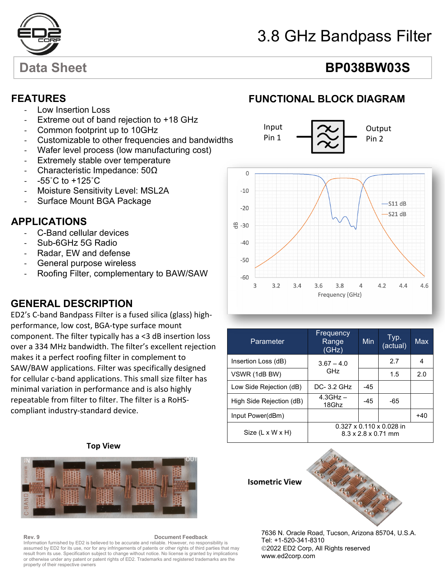

# 3.8 GHz Bandpass Filter

# Data Sheet **BP038BW03S**

### **FEATURES**

- Low Insertion Loss
- Extreme out of band rejection to +18 GHz
- Common footprint up to 10GHz
- Customizable to other frequencies and bandwidths
- Wafer level process (low manufacturing cost)
- Extremely stable over temperature
- Characteristic Impedance: 50Ω
- $-55^{\circ}$ C to  $+125^{\circ}$ C
- Moisture Sensitivity Level: MSL2A
- Surface Mount BGA Package

### - **APPLICATIONS**

- C-Band cellular devices
- Sub-6GHz 5G Radio
- Radar, EW and defense
- General purpose wireless
- Roofing Filter, complementary to BAW/SAW

### **GENERAL DESCRIPTION**

ED2's C-band Bandpass Filter is a fused silica (glass) highperformance, low cost, BGA-type surface mount component. The filter typically has a <3 dB insertion loss over a 334 MHz bandwidth. The filter's excellent rejection makes it a perfect roofing filter in complement to SAW/BAW applications. Filter was specifically designed for cellular c-band applications. This small size filter has minimal variation in performance and is also highly repeatable from filter to filter. The filter is a RoHScompliant industry-standard device.

# **FUNCTIONAL BLOCK DIAGRAM**



| Parameter                    | Frequency<br>Range<br>(GHz)                                             | Min.  | Typ.<br>(actual) | Max   |
|------------------------------|-------------------------------------------------------------------------|-------|------------------|-------|
| Insertion Loss (dB)          | $3.67 - 4.0$<br>GHz                                                     |       | 2.7              | 4     |
| VSWR (1dB BW)                |                                                                         |       | 1.5              | 2.0   |
| Low Side Rejection (dB)      | $DC-3.2$ GHz                                                            | -45   |                  |       |
| High Side Rejection (dB)     | $4.3$ GHz $-$<br>18Ghz                                                  | $-45$ | -65              |       |
| Input Power(dBm)             |                                                                         |       |                  | $+40$ |
| $Size (L \times W \times H)$ | $0.327 \times 0.110 \times 0.028$ in<br>$8.3 \times 2.8 \times 0.71$ mm |       |                  |       |

### **Top View**



**Rev. 9 Document Feedback** Information furnished by ED2 is believed to be accurate and reliable. However, no responsibility is assumed by ED2 for its use, nor for any infringements of patents or other rights of third parties that may result from its use. Specification subject to change without notice. No license is granted by implications or otherwise under any patent or patent rights of ED2. Trademarks and registered trademarks are the property of their respective owners



7636 N. Oracle Road, Tucson, Arizona 85704, U.S.A. Tel: +1-520-341-8310 2022 ED2 Corp, All Rights reserved www.ed2corp.com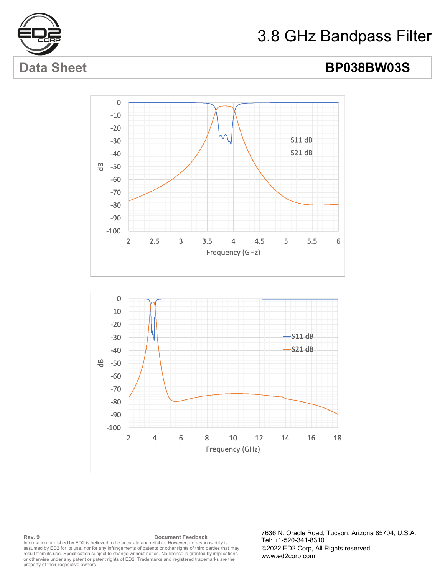

# 3.8 GHz Bandpass Filter

# Data Sheet **BP038BW03S**





**Rev. 9 Document Feedback** Information furnished by ED2 is believed to be accurate and reliable. However, no responsibility is assumed by ED2 for its use, nor for any infringements of patents or other rights of third parties that may result from its use. Specification subject to change without notice. No license is granted by implications or otherwise under any patent or patent rights of ED2. Trademarks and registered trademarks are the property of their respective owners

7636 N. Oracle Road, Tucson, Arizona 85704, U.S.A. Tel: +1-520-341-8310 2022 ED2 Corp, All Rights reserved www.ed2corp.com